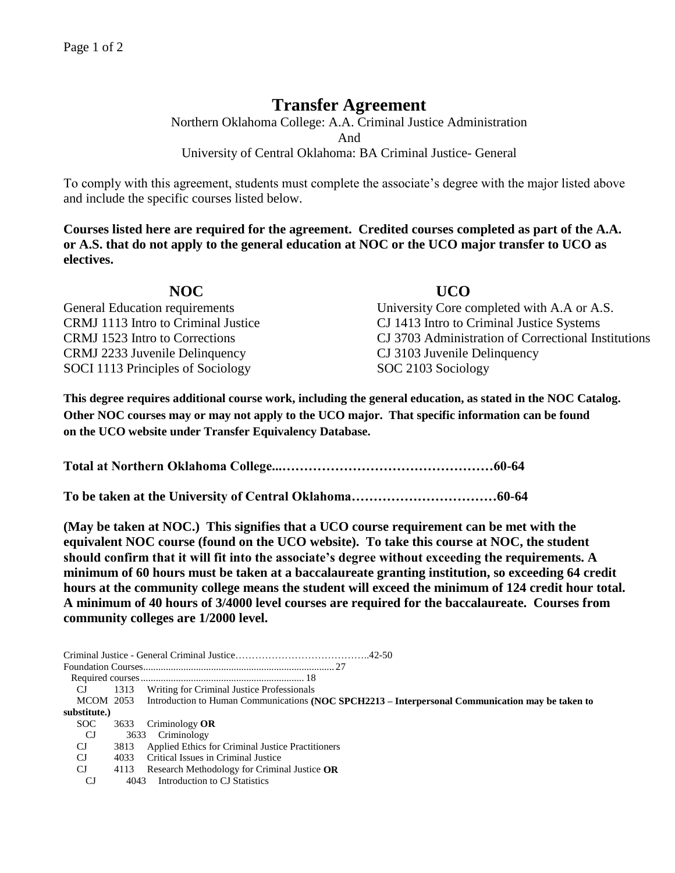## **Transfer Agreement**

Northern Oklahoma College: A.A. Criminal Justice Administration And University of Central Oklahoma: BA Criminal Justice- General

To comply with this agreement, students must complete the associate's degree with the major listed above and include the specific courses listed below.

**Courses listed here are required for the agreement. Credited courses completed as part of the A.A. or A.S. that do not apply to the general education at NOC or the UCO major transfer to UCO as electives.**

| NOC                                 | <b>UCO</b>                                          |
|-------------------------------------|-----------------------------------------------------|
| General Education requirements      | University Core completed with A.A or A.S.          |
| CRMJ 1113 Intro to Criminal Justice | CJ 1413 Intro to Criminal Justice Systems           |
| CRMJ 1523 Intro to Corrections      | CJ 3703 Administration of Correctional Institutions |
| CRMJ 2233 Juvenile Delinquency      | CJ 3103 Juvenile Delinquency                        |
| SOCI 1113 Principles of Sociology   | SOC 2103 Sociology                                  |

**This degree requires additional course work, including the general education, as stated in the NOC Catalog. Other NOC courses may or may not apply to the UCO major. That specific information can be found on the UCO website under Transfer Equivalency Database.**

**Total at Northern Oklahoma College...…………………………………………60-64**

**To be taken at the University of Central Oklahoma……………………………60-64**

**(May be taken at NOC.) This signifies that a UCO course requirement can be met with the equivalent NOC course (found on the UCO website). To take this course at NOC, the student should confirm that it will fit into the associate's degree without exceeding the requirements. A minimum of 60 hours must be taken at a baccalaureate granting institution, so exceeding 64 credit hours at the community college means the student will exceed the minimum of 124 credit hour total. A minimum of 40 hours of 3/4000 level courses are required for the baccalaureate. Courses from community colleges are 1/2000 level.**

| CJ.          |      | 1313 Writing for Criminal Justice Professionals                                                            |  |  |  |
|--------------|------|------------------------------------------------------------------------------------------------------------|--|--|--|
|              |      | MCOM 2053 Introduction to Human Communications (NOC SPCH2213 – Interpersonal Communication may be taken to |  |  |  |
| substitute.) |      |                                                                                                            |  |  |  |
| SOC.         |      | 3633 Criminology OR                                                                                        |  |  |  |
| CJ.          |      | 3633 Criminology                                                                                           |  |  |  |
| CJ           | 3813 | <b>Applied Ethics for Criminal Justice Practitioners</b>                                                   |  |  |  |
| CJ           | 4033 | Critical Issues in Criminal Justice                                                                        |  |  |  |
| CJ           | 4113 | Research Methodology for Criminal Justice OR                                                               |  |  |  |
| CJ           | 4043 | Introduction to CJ Statistics                                                                              |  |  |  |